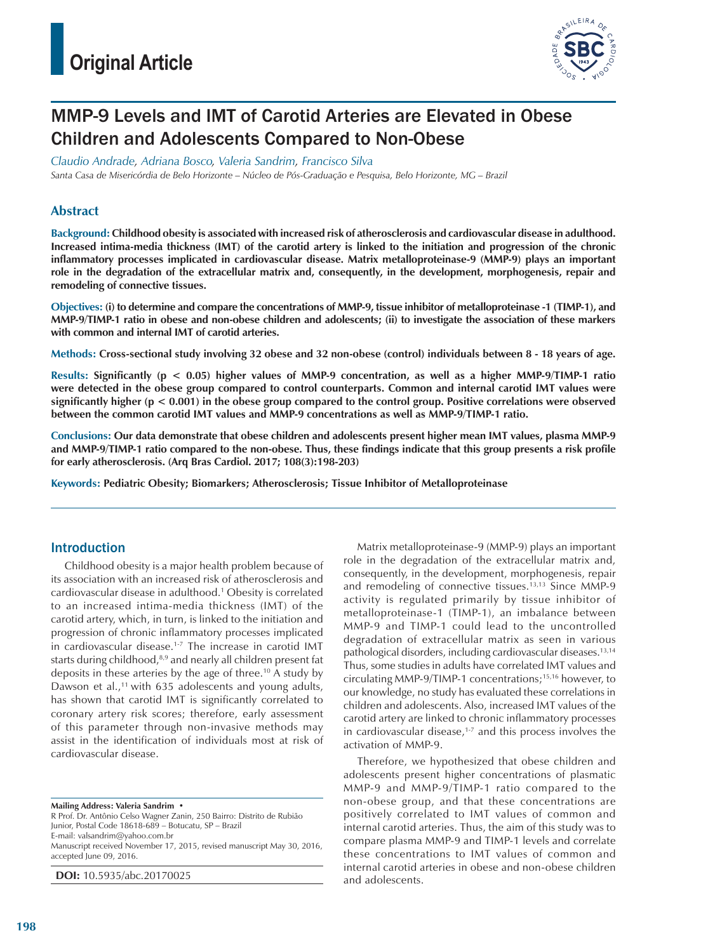

# MMP-9 Levels and IMT of Carotid Arteries are Elevated in Obese Children and Adolescents Compared to Non-Obese

*Claudio Andrade, Adriana Bosco, Valeria Sandrim, Francisco Silva*

*Santa Casa de Misericórdia de Belo Horizonte – Núcleo de Pós-Graduação e Pesquisa, Belo Horizonte, MG – Brazil*

# **Abstract**

**Background: Childhood obesity is associated with increased risk of atherosclerosis and cardiovascular disease in adulthood. Increased intima-media thickness (IMT) of the carotid artery is linked to the initiation and progression of the chronic inflammatory processes implicated in cardiovascular disease. Matrix metalloproteinase-9 (MMP-9) plays an important role in the degradation of the extracellular matrix and, consequently, in the development, morphogenesis, repair and remodeling of connective tissues.**

**Objectives: (i) to determine and compare the concentrations of MMP-9, tissue inhibitor of metalloproteinase -1 (TIMP-1), and MMP-9/TIMP-1 ratio in obese and non-obese children and adolescents; (ii) to investigate the association of these markers with common and internal IMT of carotid arteries.**

**Methods: Cross-sectional study involving 32 obese and 32 non-obese (control) individuals between 8 - 18 years of age.**

**Results: Significantly (p < 0.05) higher values of MMP-9 concentration, as well as a higher MMP-9/TIMP-1 ratio were detected in the obese group compared to control counterparts. Common and internal carotid IMT values were significantly higher (p < 0.001) in the obese group compared to the control group. Positive correlations were observed between the common carotid IMT values and MMP-9 concentrations as well as MMP-9/TIMP-1 ratio.**

**Conclusions: Our data demonstrate that obese children and adolescents present higher mean IMT values, plasma MMP-9 and MMP-9/TIMP-1 ratio compared to the non-obese. Thus, these findings indicate that this group presents a risk profile for early atherosclerosis. (Arq Bras Cardiol. 2017; 108(3):198-203)**

**Keywords: Pediatric Obesity; Biomarkers; Atherosclerosis; Tissue Inhibitor of Metalloproteinase**

## Introduction

Childhood obesity is a major health problem because of its association with an increased risk of atherosclerosis and cardiovascular disease in adulthood.1 Obesity is correlated to an increased intima-media thickness (IMT) of the carotid artery, which, in turn, is linked to the initiation and progression of chronic inflammatory processes implicated in cardiovascular disease.<sup>1-7</sup> The increase in carotid IMT starts during childhood,<sup>8,9</sup> and nearly all children present fat deposits in these arteries by the age of three.10 A study by Dawson et al.,<sup>11</sup> with 635 adolescents and young adults, has shown that carotid IMT is significantly correlated to coronary artery risk scores; therefore, early assessment of this parameter through non-invasive methods may assist in the identification of individuals most at risk of cardiovascular disease.

**Mailing Address: Valeria Sandrim •**

R Prof. Dr. Antônio Celso Wagner Zanin, 250 Bairro: Distrito de Rubião Junior, Postal Code 18618-689 – Botucatu, SP – Brazil E-mail: valsandrim@yahoo.com.br

Manuscript received November 17, 2015, revised manuscript May 30, 2016, accepted June 09, 2016.

**DOI:** 10.5935/abc.20170025

Matrix metalloproteinase-9 (MMP-9) plays an important role in the degradation of the extracellular matrix and, consequently, in the development, morphogenesis, repair and remodeling of connective tissues.<sup>13,13</sup> Since MMP-9 activity is regulated primarily by tissue inhibitor of metalloproteinase-1 (TIMP-1), an imbalance between MMP-9 and TIMP-1 could lead to the uncontrolled degradation of extracellular matrix as seen in various pathological disorders, including cardiovascular diseases.13,14 Thus, some studies in adults have correlated IMT values and circulating MMP-9/TIMP-1 concentrations;15,16 however, to our knowledge, no study has evaluated these correlations in children and adolescents. Also, increased IMT values of the carotid artery are linked to chronic inflammatory processes in cardiovascular disease, $1-7$  and this process involves the activation of MMP-9.

Therefore, we hypothesized that obese children and adolescents present higher concentrations of plasmatic MMP-9 and MMP-9/TIMP-1 ratio compared to the non-obese group, and that these concentrations are positively correlated to IMT values of common and internal carotid arteries. Thus, the aim of this study was to compare plasma MMP-9 and TIMP-1 levels and correlate these concentrations to IMT values of common and internal carotid arteries in obese and non-obese children and adolescents.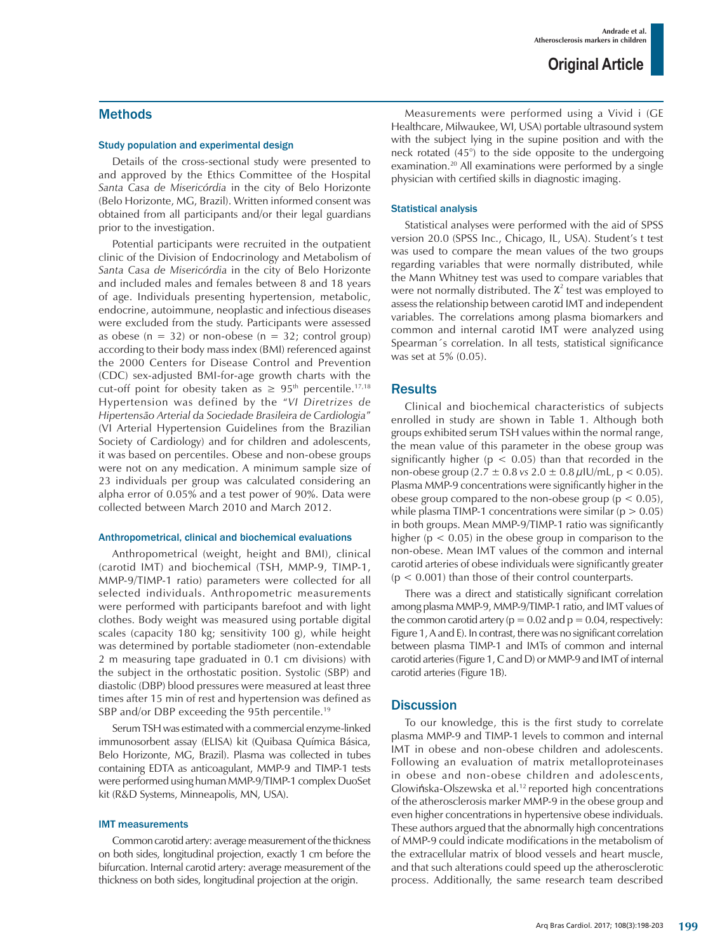## Methods

#### Study population and experimental design

Details of the cross-sectional study were presented to and approved by the Ethics Committee of the Hospital *Santa Casa de Misericórdia* in the city of Belo Horizonte (Belo Horizonte, MG, Brazil). Written informed consent was obtained from all participants and/or their legal guardians prior to the investigation.

Potential participants were recruited in the outpatient clinic of the Division of Endocrinology and Metabolism of *Santa Casa de Misericórdia* in the city of Belo Horizonte and included males and females between 8 and 18 years of age. Individuals presenting hypertension, metabolic, endocrine, autoimmune, neoplastic and infectious diseases were excluded from the study. Participants were assessed as obese ( $n = 32$ ) or non-obese ( $n = 32$ ; control group) according to their body mass index (BMI) referenced against the 2000 Centers for Disease Control and Prevention (CDC) sex-adjusted BMI-for-age growth charts with the cut-off point for obesity taken as  $\geq 95$ <sup>th</sup> percentile.<sup>17,18</sup> Hypertension was defined by the "*VI Diretrizes de Hipertensão Arterial da Sociedade Brasileira de Cardiologia*" (VI Arterial Hypertension Guidelines from the Brazilian Society of Cardiology) and for children and adolescents, it was based on percentiles. Obese and non-obese groups were not on any medication. A minimum sample size of 23 individuals per group was calculated considering an alpha error of 0.05% and a test power of 90%. Data were collected between March 2010 and March 2012.

#### Anthropometrical, clinical and biochemical evaluations

Anthropometrical (weight, height and BMI), clinical (carotid IMT) and biochemical (TSH, MMP-9, TIMP-1, MMP-9/TIMP-1 ratio) parameters were collected for all selected individuals. Anthropometric measurements were performed with participants barefoot and with light clothes. Body weight was measured using portable digital scales (capacity 180 kg; sensitivity 100 g), while height was determined by portable stadiometer (non-extendable 2 m measuring tape graduated in 0.1 cm divisions) with the subject in the orthostatic position. Systolic (SBP) and diastolic (DBP) blood pressures were measured at least three times after 15 min of rest and hypertension was defined as SBP and/or DBP exceeding the 95th percentile.<sup>19</sup>

Serum TSH was estimated with a commercial enzyme-linked immunosorbent assay (ELISA) kit (Quibasa Química Básica, Belo Horizonte, MG, Brazil). Plasma was collected in tubes containing EDTA as anticoagulant, MMP-9 and TIMP-1 tests were performed using human MMP-9/TIMP-1 complex DuoSet kit (R&D Systems, Minneapolis, MN, USA).

### IMT measurements

Common carotid artery: average measurement of the thickness on both sides, longitudinal projection, exactly 1 cm before the bifurcation. Internal carotid artery: average measurement of the thickness on both sides, longitudinal projection at the origin.

Measurements were performed using a Vivid i (GE Healthcare, Milwaukee, WI, USA) portable ultrasound system with the subject lying in the supine position and with the neck rotated (45°) to the side opposite to the undergoing examination.20 All examinations were performed by a single physician with certified skills in diagnostic imaging.

### Statistical analysis

Statistical analyses were performed with the aid of SPSS version 20.0 (SPSS Inc., Chicago, IL, USA). Student's t test was used to compare the mean values of the two groups regarding variables that were normally distributed, while the Mann Whitney test was used to compare variables that were not normally distributed. The  $\chi^2$  test was employed to assess the relationship between carotid IMT and independent variables. The correlations among plasma biomarkers and common and internal carotid IMT were analyzed using Spearman´s correlation. In all tests, statistical significance was set at 5% (0.05).

## **Results**

Clinical and biochemical characteristics of subjects enrolled in study are shown in Table 1. Although both groups exhibited serum TSH values within the normal range, the mean value of this parameter in the obese group was significantly higher ( $p < 0.05$ ) than that recorded in the non-obese group  $(2.7 \pm 0.8 \text{ vs } 2.0 \pm 0.8 \text{ µlU/mL}, p < 0.05)$ . Plasma MMP-9 concentrations were significantly higher in the obese group compared to the non-obese group ( $p < 0.05$ ), while plasma TIMP-1 concentrations were similar ( $p > 0.05$ ) in both groups. Mean MMP-9/TIMP-1 ratio was significantly higher ( $p < 0.05$ ) in the obese group in comparison to the non-obese. Mean IMT values of the common and internal carotid arteries of obese individuals were significantly greater  $(p < 0.001)$  than those of their control counterparts.

There was a direct and statistically significant correlation among plasma MMP-9, MMP-9/TIMP-1 ratio, and IMT values of the common carotid artery ( $p = 0.02$  and  $p = 0.04$ , respectively: Figure 1, A and E). In contrast, there was no significant correlation between plasma TIMP-1 and IMTs of common and internal carotid arteries (Figure 1, C and D) or MMP-9 and IMT of internal carotid arteries (Figure 1B).

## **Discussion**

To our knowledge, this is the first study to correlate plasma MMP-9 and TIMP-1 levels to common and internal IMT in obese and non-obese children and adolescents. Following an evaluation of matrix metalloproteinases in obese and non-obese children and adolescents, Glowińska-Olszewska et al.12 reported high concentrations of the atherosclerosis marker MMP-9 in the obese group and even higher concentrations in hypertensive obese individuals. These authors argued that the abnormally high concentrations of MMP-9 could indicate modifications in the metabolism of the extracellular matrix of blood vessels and heart muscle, and that such alterations could speed up the atherosclerotic process. Additionally, the same research team described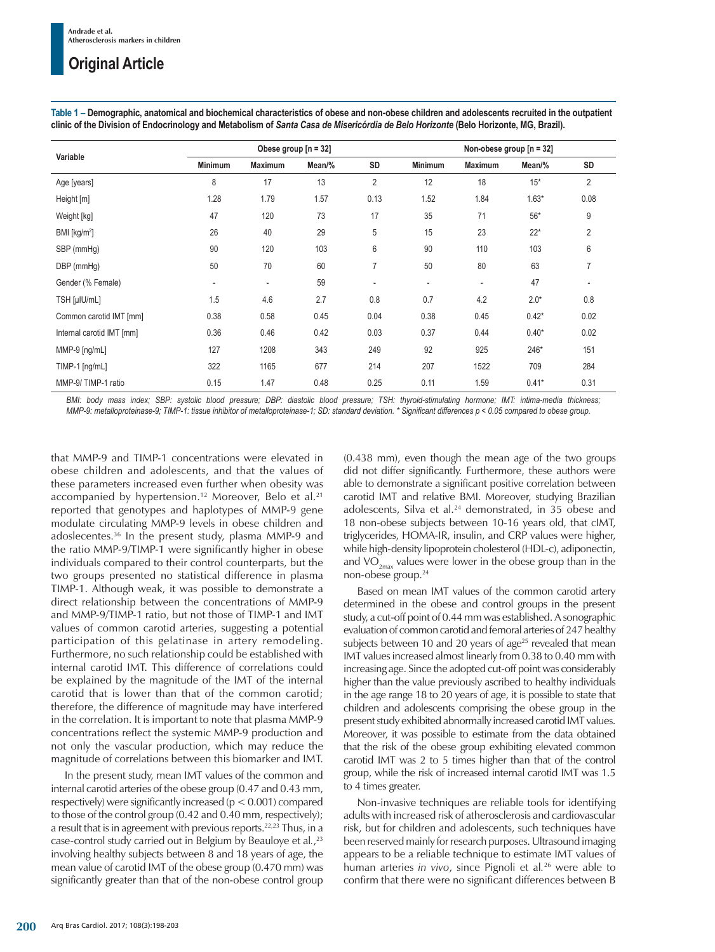| Variable                  | Obese group $[n = 32]$   |                          |        |                | Non-obese group $[n = 32]$ |                          |         |                |
|---------------------------|--------------------------|--------------------------|--------|----------------|----------------------------|--------------------------|---------|----------------|
|                           | <b>Minimum</b>           | <b>Maximum</b>           | Mean/% | SD             | <b>Minimum</b>             | <b>Maximum</b>           | Mean/%  | SD             |
| Age [years]               | 8                        | 17                       | 13     | $\overline{2}$ | 12                         | 18                       | $15*$   | $\overline{2}$ |
| Height [m]                | 1.28                     | 1.79                     | 1.57   | 0.13           | 1.52                       | 1.84                     | $1.63*$ | 0.08           |
| Weight [kg]               | 47                       | 120                      | 73     | 17             | 35                         | 71                       | $56*$   | 9              |
| BMI [kg/m <sup>2</sup> ]  | 26                       | 40                       | 29     | 5              | 15                         | 23                       | $22*$   | $\overline{2}$ |
| SBP (mmHg)                | 90                       | 120                      | 103    | 6              | 90                         | 110                      | 103     | 6              |
| DBP (mmHg)                | 50                       | 70                       | 60     | $\overline{7}$ | 50                         | 80                       | 63      | 7              |
| Gender (% Female)         | $\overline{\phantom{a}}$ | $\overline{\phantom{a}}$ | 59     | ۰              | $\overline{\phantom{a}}$   | $\overline{\phantom{a}}$ | 47      |                |
| TSH [µIU/mL]              | 1.5                      | 4.6                      | 2.7    | 0.8            | 0.7                        | 4.2                      | $2.0*$  | 0.8            |
| Common carotid IMT [mm]   | 0.38                     | 0.58                     | 0.45   | 0.04           | 0.38                       | 0.45                     | $0.42*$ | 0.02           |
| Internal carotid IMT [mm] | 0.36                     | 0.46                     | 0.42   | 0.03           | 0.37                       | 0.44                     | $0.40*$ | 0.02           |
| MMP-9 [ng/mL]             | 127                      | 1208                     | 343    | 249            | 92                         | 925                      | 246*    | 151            |
| TIMP-1 [ng/mL]            | 322                      | 1165                     | 677    | 214            | 207                        | 1522                     | 709     | 284            |
| MMP-9/TIMP-1 ratio        | 0.15                     | 1.47                     | 0.48   | 0.25           | 0.11                       | 1.59                     | $0.41*$ | 0.31           |

**Table 1 – Demographic, anatomical and biochemical characteristics of obese and non-obese children and adolescents recruited in the outpatient clinic of the Division of Endocrinology and Metabolism of** *Santa Casa de Misericórdia de Belo Horizonte* **(Belo Horizonte, MG, Brazil).**

*BMI: body mass index; SBP: systolic blood pressure; DBP: diastolic blood pressure; TSH: thyroid-stimulating hormone; IMT: intima-media thickness;*  MMP-9: metalloproteinase-9; TIMP-1: tissue inhibitor of metalloproteinase-1; SD: standard deviation. \* Significant differences p < 0.05 compared to obese group.

that MMP-9 and TIMP-1 concentrations were elevated in obese children and adolescents, and that the values of these parameters increased even further when obesity was accompanied by hypertension.<sup>12</sup> Moreover, Belo et al.<sup>21</sup> reported that genotypes and haplotypes of MMP-9 gene modulate circulating MMP-9 levels in obese children and adoslecentes.36 In the present study, plasma MMP-9 and the ratio MMP-9/TIMP-1 were significantly higher in obese individuals compared to their control counterparts, but the two groups presented no statistical difference in plasma TIMP-1. Although weak, it was possible to demonstrate a direct relationship between the concentrations of MMP-9 and MMP-9/TIMP-1 ratio, but not those of TIMP-1 and IMT values of common carotid arteries, suggesting a potential participation of this gelatinase in artery remodeling. Furthermore, no such relationship could be established with internal carotid IMT. This difference of correlations could be explained by the magnitude of the IMT of the internal carotid that is lower than that of the common carotid; therefore, the difference of magnitude may have interfered in the correlation. It is important to note that plasma MMP-9 concentrations reflect the systemic MMP-9 production and not only the vascular production, which may reduce the magnitude of correlations between this biomarker and IMT.

In the present study, mean IMT values of the common and internal carotid arteries of the obese group (0.47 and 0.43 mm, respectively) were significantly increased (p < 0.001) compared to those of the control group (0.42 and 0.40 mm, respectively); a result that is in agreement with previous reports.<sup>22,23</sup> Thus, in a case-control study carried out in Belgium by Beauloye et al*.*, 23 involving healthy subjects between 8 and 18 years of age, the mean value of carotid IMT of the obese group (0.470 mm) was significantly greater than that of the non-obese control group (0.438 mm), even though the mean age of the two groups did not differ significantly. Furthermore, these authors were able to demonstrate a significant positive correlation between carotid IMT and relative BMI. Moreover, studying Brazilian adolescents, Silva et al.<sup>24</sup> demonstrated, in 35 obese and 18 non-obese subjects between 10-16 years old, that cIMT, triglycerides, HOMA-IR, insulin, and CRP values were higher, while high-density lipoprotein cholesterol (HDL-c), adiponectin, and  $VO_{2m}$  values were lower in the obese group than in the non-obese group.24

Based on mean IMT values of the common carotid artery determined in the obese and control groups in the present study, a cut-off point of 0.44 mm was established. A sonographic evaluation of common carotid and femoral arteries of 247 healthy subjects between 10 and 20 years of age<sup>25</sup> revealed that mean IMT values increased almost linearly from 0.38 to 0.40 mm with increasing age. Since the adopted cut-off point was considerably higher than the value previously ascribed to healthy individuals in the age range 18 to 20 years of age, it is possible to state that children and adolescents comprising the obese group in the present study exhibited abnormally increased carotid IMT values. Moreover, it was possible to estimate from the data obtained that the risk of the obese group exhibiting elevated common carotid IMT was 2 to 5 times higher than that of the control group, while the risk of increased internal carotid IMT was 1.5 to 4 times greater.

Non-invasive techniques are reliable tools for identifying adults with increased risk of atherosclerosis and cardiovascular risk, but for children and adolescents, such techniques have been reserved mainly for research purposes. Ultrasound imaging appears to be a reliable technique to estimate IMT values of human arteries *in vivo*, since Pignoli et al*.* 26 were able to confirm that there were no significant differences between B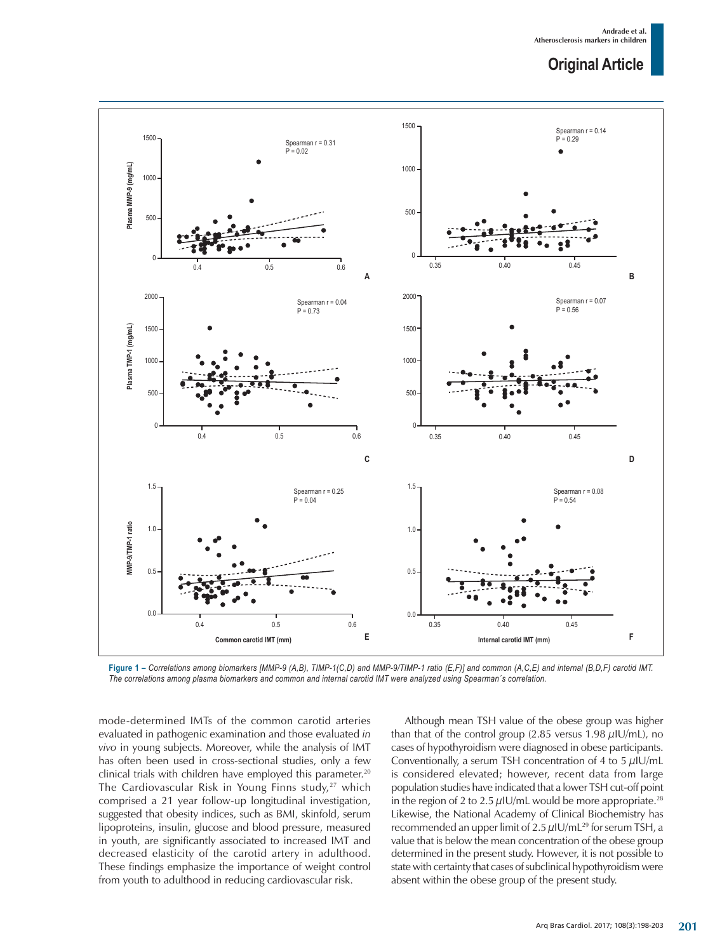

**Figure 1 –** *Correlations among biomarkers [MMP-9 (A,B), TIMP-1(C,D) and MMP-9/TIMP-1 ratio (E,F)] and common (A,C,E) and internal (B,D,F) carotid IMT. The correlations among plasma biomarkers and common and internal carotid IMT were analyzed using Spearman´s correlation.*

mode-determined IMTs of the common carotid arteries evaluated in pathogenic examination and those evaluated *in vivo* in young subjects. Moreover, while the analysis of IMT has often been used in cross-sectional studies, only a few clinical trials with children have employed this parameter.<sup>20</sup> The Cardiovascular Risk in Young Finns study, $27$  which comprised a 21 year follow-up longitudinal investigation, suggested that obesity indices, such as BMI, skinfold, serum lipoproteins, insulin, glucose and blood pressure, measured in youth, are significantly associated to increased IMT and decreased elasticity of the carotid artery in adulthood. These findings emphasize the importance of weight control from youth to adulthood in reducing cardiovascular risk.

Although mean TSH value of the obese group was higher than that of the control group (2.85 versus 1.98  $\mu$ IU/mL), no cases of hypothyroidism were diagnosed in obese participants. Conventionally, a serum TSH concentration of 4 to 5  $\mu$ IU/mL is considered elevated; however, recent data from large population studies have indicated that a lower TSH cut-off point in the region of 2 to 2.5  $\mu$ IU/mL would be more appropriate.<sup>28</sup> Likewise, the National Academy of Clinical Biochemistry has recommended an upper limit of 2.5  $\mu$ IU/mL<sup>29</sup> for serum TSH, a value that is below the mean concentration of the obese group determined in the present study. However, it is not possible to state with certainty that cases of subclinical hypothyroidism were absent within the obese group of the present study.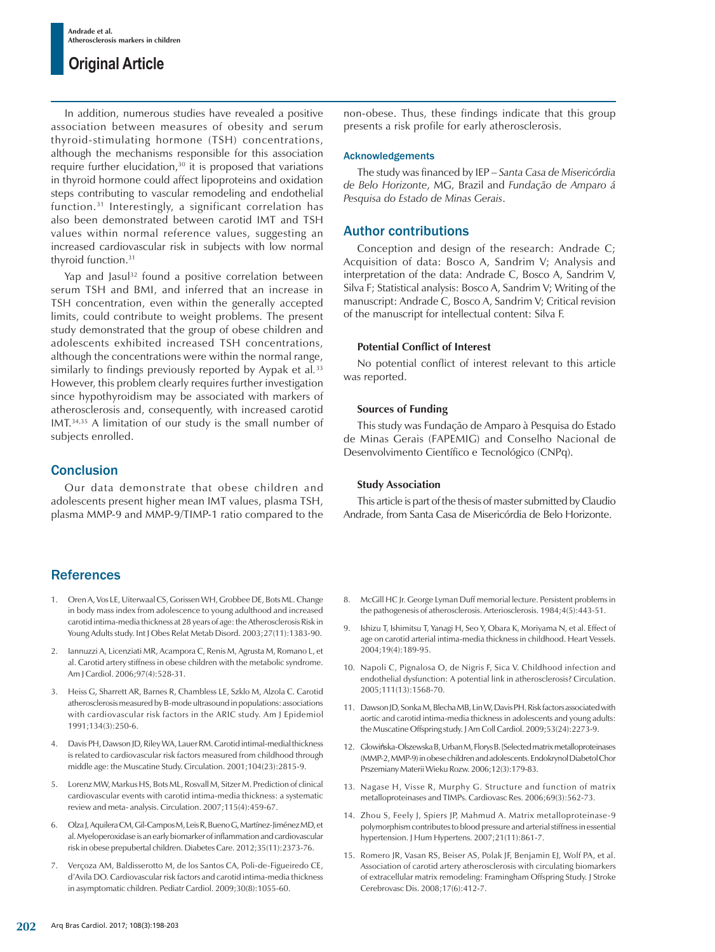In addition, numerous studies have revealed a positive association between measures of obesity and serum thyroid-stimulating hormone (TSH) concentrations, although the mechanisms responsible for this association require further elucidation,<sup>30</sup> it is proposed that variations in thyroid hormone could affect lipoproteins and oxidation steps contributing to vascular remodeling and endothelial function.31 Interestingly, a significant correlation has also been demonstrated between carotid IMT and TSH values within normal reference values, suggesting an increased cardiovascular risk in subjects with low normal thyroid function.<sup>31</sup>

Yap and Jasul<sup>32</sup> found a positive correlation between serum TSH and BMI, and inferred that an increase in TSH concentration, even within the generally accepted limits, could contribute to weight problems. The present study demonstrated that the group of obese children and adolescents exhibited increased TSH concentrations, although the concentrations were within the normal range, similarly to findings previously reported by Aypak et al*.* 33 However, this problem clearly requires further investigation since hypothyroidism may be associated with markers of atherosclerosis and, consequently, with increased carotid IMT.34,35 A limitation of our study is the small number of subjects enrolled.

# Conclusion

Our data demonstrate that obese children and adolescents present higher mean IMT values, plasma TSH, plasma MMP-9 and MMP-9/TIMP-1 ratio compared to the

# **References**

- 1. Oren A, Vos LE, Uiterwaal CS, Gorissen WH, Grobbee DE, Bots ML. Change in body mass index from adolescence to young adulthood and increased carotid intima-media thickness at 28 years of age: the Atherosclerosis Risk in Young Adults study. Int J Obes Relat Metab Disord. 2003;27(11):1383-90.
- 2. Iannuzzi A, Licenziati MR, Acampora C, Renis M, Agrusta M, Romano L, et al. Carotid artery stiffness in obese children with the metabolic syndrome. Am J Cardiol. 2006;97(4):528-31.
- 3. Heiss G, Sharrett AR, Barnes R, Chambless LE, Szklo M, Alzola C. Carotid atherosclerosis measured by B-mode ultrasound in populations: associations with cardiovascular risk factors in the ARIC study. Am J Epidemiol 1991;134(3):250-6.
- 4. Davis PH, Dawson JD, Riley WA, Lauer RM. Carotid intimal-medial thickness is related to cardiovascular risk factors measured from childhood through middle age: the Muscatine Study. Circulation. 2001;104(23):2815-9.
- 5. Lorenz MW, Markus HS, Bots ML, Rosvall M, Sitzer M. Prediction of clinical cardiovascular events with carotid intima-media thickness: a systematic review and meta- analysis. Circulation. 2007;115(4):459-67.
- 6. Olza J, Aquilera CM, Gil-Campos M, Leis R, Bueno G, Martínez-Jiménez MD, et al. Myeloperoxidase is an early biomarker of inflammation and cardiovascular risk in obese prepubertal children. Diabetes Care. 2012;35(11):2373-76.
- 7. Verçoza AM, Baldisserotto M, de los Santos CA, Poli-de-Figueiredo CE, d'Avila DO. Cardiovascular risk factors and carotid intima-media thickness in asymptomatic children. Pediatr Cardiol. 2009;30(8):1055-60.

non-obese. Thus, these findings indicate that this group presents a risk profile for early atherosclerosis.

### Acknowledgements

The study was financed by IEP – *Santa Casa de Misericórdia de Belo Horizonte*, MG, Brazil and *Fundação de Amparo á Pesquisa do Estado de Minas Gerais*.

# Author contributions

Conception and design of the research: Andrade C; Acquisition of data: Bosco A, Sandrim V; Analysis and interpretation of the data: Andrade C, Bosco A, Sandrim V, Silva F; Statistical analysis: Bosco A, Sandrim V; Writing of the manuscript: Andrade C, Bosco A, Sandrim V; Critical revision of the manuscript for intellectual content: Silva F.

### **Potential Conflict of Interest**

No potential conflict of interest relevant to this article was reported.

### **Sources of Funding**

This study was Fundação de Amparo à Pesquisa do Estado de Minas Gerais (FAPEMIG) and Conselho Nacional de Desenvolvimento Científico e Tecnológico (CNPq).

### **Study Association**

This article is part of the thesis of master submitted by Claudio Andrade, from Santa Casa de Misericórdia de Belo Horizonte.

- 8. McGill HC Jr. George Lyman Duff memorial lecture. Persistent problems in the pathogenesis of atherosclerosis. Arteriosclerosis. 1984;4(5):443-51.
- 9. Ishizu T, Ishimitsu T, Yanagi H, Seo Y, Obara K, Moriyama N, et al. Effect of age on carotid arterial intima-media thickness in childhood. Heart Vessels. 2004;19(4):189-95.
- 10. Napoli C, Pignalosa O, de Nigris F, Sica V. Childhood infection and endothelial dysfunction: A potential link in atherosclerosis? Circulation. 2005;111(13):1568-70.
- 11. Dawson JD, Sonka M, Blecha MB, Lin W, Davis PH. Risk factors associated with aortic and carotid intima-media thickness in adolescents and young adults: the Muscatine Offspring study. J Am Coll Cardiol. 2009;53(24):2273-9.
- 12. Glowińska-Olszewska B, Urban M, Florys B. [Selected matrix metalloproteinases (MMP-2, MMP-9) in obese children and adolescents. Endokrynol Diabetol Chor Prszemiany Materii Wieku Rozw. 2006;12(3):179-83.
- 13. Nagase H, Visse R, Murphy G. Structure and function of matrix metalloproteinases and TIMPs. Cardiovasc Res. 2006;69(3):562-73.
- 14. Zhou S, Feely J, Spiers JP, Mahmud A. Matrix metalloproteinase-9 polymorphism contributes to blood pressure and arterial stiffness in essential hypertension. J Hum Hypertens. 2007;21(11):861-7.
- 15. Romero JR, Vasan RS, Beiser AS, Polak JF, Benjamin EJ, Wolf PA, et al. Association of carotid artery atherosclerosis with circulating biomarkers of extracellular matrix remodeling: Framingham Offspring Study. J Stroke Cerebrovasc Dis. 2008;17(6):412-7.